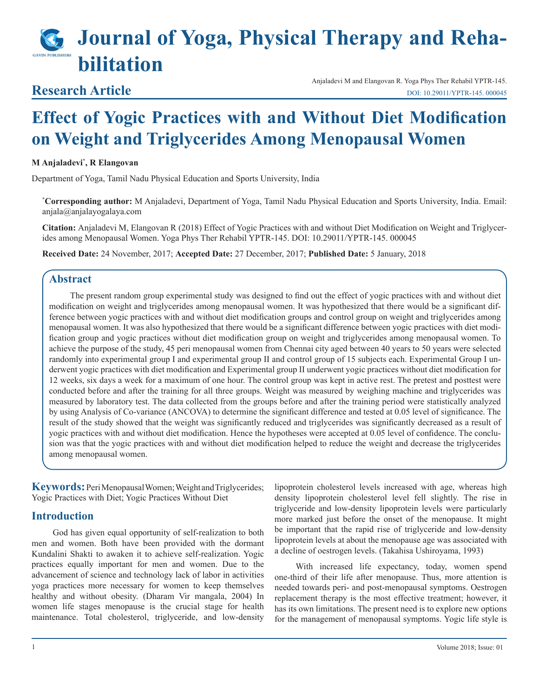# **Journal of Yoga, Physical Therapy and Rehabilitation**

# **Research Article**

Anjaladevi M and Elangovan R. Yoga Phys Ther Rehabil YPTR-145. [DOI: 10.29011/YPTR-145. 00004](http://doi.org/10.29011/YPTR-145. 000045)5

# **Effect of Yogic Practices with and Without Diet Modification on Weight and Triglycerides Among Menopausal Women**

#### **M Anjaladevi\* , R Elangovan**

Department of Yoga, Tamil Nadu Physical Education and Sports University, India

**\* Corresponding author:** M Anjaladevi, Department of Yoga, Tamil Nadu Physical Education and Sports University, India. Email: anjala@anjalayogalaya.com

**Citation:** Anjaladevi M, Elangovan R (2018) Effect of Yogic Practices with and without Diet Modification on Weight and Triglycerides among Menopausal Women. Yoga Phys Ther Rehabil YPTR-145. DOI: 10.29011/YPTR-145. 000045

**Received Date:** 24 November, 2017; **Accepted Date:** 27 December, 2017; **Published Date:** 5 January, 2018

# **Abstract**

The present random group experimental study was designed to find out the effect of yogic practices with and without diet modification on weight and triglycerides among menopausal women. It was hypothesized that there would be a significant difference between yogic practices with and without diet modification groups and control group on weight and triglycerides among menopausal women. It was also hypothesized that there would be a significant difference between yogic practices with diet modification group and yogic practices without diet modification group on weight and triglycerides among menopausal women. To achieve the purpose of the study, 45 peri menopausal women from Chennai city aged between 40 years to 50 years were selected randomly into experimental group I and experimental group II and control group of 15 subjects each. Experimental Group I underwent yogic practices with diet modification and Experimental group II underwent yogic practices without diet modification for 12 weeks, six days a week for a maximum of one hour. The control group was kept in active rest. The pretest and posttest were conducted before and after the training for all three groups. Weight was measured by weighing machine and triglycerides was measured by laboratory test. The data collected from the groups before and after the training period were statistically analyzed by using Analysis of Co-variance (ANCOVA) to determine the significant difference and tested at 0.05 level of significance. The result of the study showed that the weight was significantly reduced and triglycerides was significantly decreased as a result of yogic practices with and without diet modification. Hence the hypotheses were accepted at 0.05 level of confidence. The conclusion was that the yogic practices with and without diet modification helped to reduce the weight and decrease the triglycerides among menopausal women.

**Keywords:** Peri Menopausal Women; Weight and Triglycerides; Yogic Practices with Diet; Yogic Practices Without Diet

## **Introduction**

God has given equal opportunity of self-realization to both men and women. Both have been provided with the dormant Kundalini Shakti to awaken it to achieve self-realization. Yogic practices equally important for men and women. Due to the advancement of science and technology lack of labor in activities yoga practices more necessary for women to keep themselves healthy and without obesity. (Dharam Vir mangala, 2004) In women life stages menopause is the crucial stage for health maintenance. Total cholesterol, triglyceride, and low-density

lipoprotein cholesterol levels increased with age, whereas high density lipoprotein cholesterol level fell slightly. The rise in triglyceride and low-density lipoprotein levels were particularly more marked just before the onset of the menopause. It might be important that the rapid rise of triglyceride and low-density lipoprotein levels at about the menopause age was associated with a decline of oestrogen levels. [\(Takahisa Ushiroyama](http://www.tandfonline.com/author/Ushiroyama%2C+T), 1993)

With increased life expectancy, today, women spend one-third of their life after menopause. Thus, more attention is needed towards peri- and post-menopausal symptoms. Oestrogen replacement therapy is the most effective treatment; however, it has its own limitations. The present need is to explore new options for the management of menopausal symptoms. Yogic life style is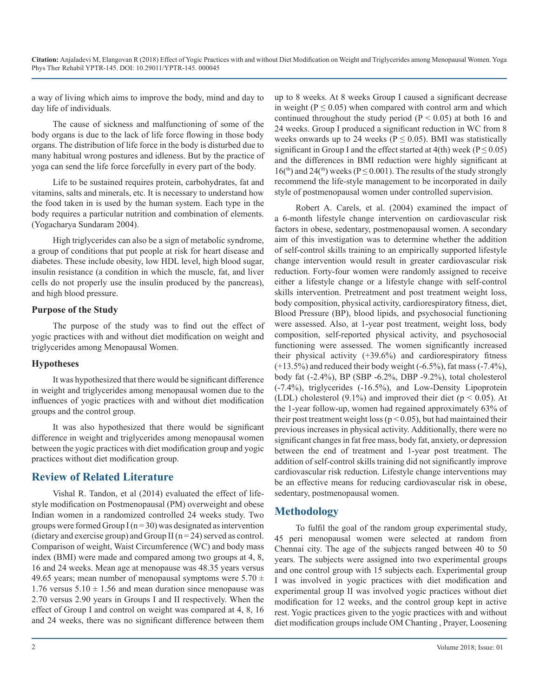a way of living which aims to improve the body, mind and day to day life of individuals.

The cause of sickness and malfunctioning of some of the body organs is due to the lack of life force flowing in those body organs. The distribution of life force in the body is disturbed due to many habitual wrong postures and idleness. But by the practice of yoga can send the life force forcefully in every part of the body.

Life to be sustained requires protein, carbohydrates, fat and vitamins, salts and minerals, etc. It is necessary to understand how the food taken in is used by the human system. Each type in the body requires a particular nutrition and combination of elements. (Yogacharya Sundaram 2004).

High triglycerides can also be a sign of metabolic syndrome, a group of conditions that put people at risk for heart disease and diabetes. These include obesity, low HDL level, high blood sugar, insulin resistance (a condition in which the muscle, fat, and liver cells do not properly use the insulin produced by the pancreas), and high blood pressure.

#### **Purpose of the Study**

The purpose of the study was to find out the effect of yogic practices with and without diet modification on weight and triglycerides among Menopausal Women.

#### **Hypotheses**

It was hypothesized that there would be significant difference in weight and triglycerides among menopausal women due to the influences of yogic practices with and without diet modification groups and the control group.

It was also hypothesized that there would be significant difference in weight and triglycerides among menopausal women between the yogic practices with diet modification group and yogic practices without diet modification group.

# **Review of Related Literature**

Vishal R. Tandon, et al (2014) evaluated the effect of lifestyle modification on Postmenopausal (PM) overweight and obese Indian women in a randomized controlled 24 weeks study. Two groups were formed Group I ( $n = 30$ ) was designated as intervention (dietary and exercise group) and Group II ( $n = 24$ ) served as control. Comparison of weight, Waist Circumference (WC) and body mass index (BMI) were made and compared among two groups at 4, 8, 16 and 24 weeks. Mean age at menopause was 48.35 years versus 49.65 years; mean number of menopausal symptoms were  $5.70 \pm$ 1.76 versus  $5.10 \pm 1.56$  and mean duration since menopause was 2.70 versus 2.90 years in Groups I and II respectively. When the effect of Group I and control on weight was compared at 4, 8, 16 and 24 weeks, there was no significant difference between them up to 8 weeks. At 8 weeks Group I caused a significant decrease in weight ( $P \le 0.05$ ) when compared with control arm and which continued throughout the study period ( $P < 0.05$ ) at both 16 and 24 weeks. Group I produced a significant reduction in WC from 8 weeks onwards up to 24 weeks ( $P \le 0.05$ ). BMI was statistically significant in Group I and the effect started at  $4$ (th) week ( $P \le 0.05$ ) and the differences in BMI reduction were highly significant at  $16<sup>(th)</sup>$  and  $24<sup>(th)</sup>$  weeks (P  $\leq$  0.001). The results of the study strongly recommend the life-style management to be incorporated in daily style of postmenopausal women under controlled supervision.

Robert A. Carels, et al. (2004) examined the impact of a 6-month lifestyle change intervention on cardiovascular risk factors in obese, sedentary, postmenopausal women. A secondary aim of this investigation was to determine whether the addition of self-control skills training to an empirically supported lifestyle change intervention would result in greater cardiovascular risk reduction. Forty-four women were randomly assigned to receive either a lifestyle change or a lifestyle change with self-control skills intervention. Pretreatment and post treatment weight loss, body composition, physical activity, cardiorespiratory fitness, diet, Blood Pressure (BP), blood lipids, and psychosocial functioning were assessed. Also, at 1-year post treatment, weight loss, body composition, self-reported physical activity, and psychosocial functioning were assessed. The women significantly increased their physical activity  $(+39.6%)$  and cardiorespiratory fitness  $(+13.5%)$  and reduced their body weight  $(-6.5%)$ , fat mass  $(-7.4%)$ , body fat (-2.4%), BP (SBP -6.2%, DBP -9.2%), total cholesterol (-7.4%), triglycerides (-16.5%), and Low-Density Lipoprotein (LDL) cholesterol (9.1%) and improved their diet ( $p < 0.05$ ). At the 1-year follow-up, women had regained approximately 63% of their post treatment weight loss ( $p < 0.05$ ), but had maintained their previous increases in physical activity. Additionally, there were no significant changes in fat free mass, body fat, anxiety, or depression between the end of treatment and 1-year post treatment. The addition of self-control skills training did not significantly improve cardiovascular risk reduction. Lifestyle change interventions may be an effective means for reducing cardiovascular risk in obese, sedentary, postmenopausal women.

## **Methodology**

To fulfil the goal of the random group experimental study, 45 peri menopausal women were selected at random from Chennai city. The age of the subjects ranged between 40 to 50 years. The subjects were assigned into two experimental groups and one control group with 15 subjects each. Experimental group I was involved in yogic practices with diet modification and experimental group II was involved yogic practices without diet modification for 12 weeks, and the control group kept in active rest. Yogic practices given to the yogic practices with and without diet modification groups include OM Chanting , Prayer, Loosening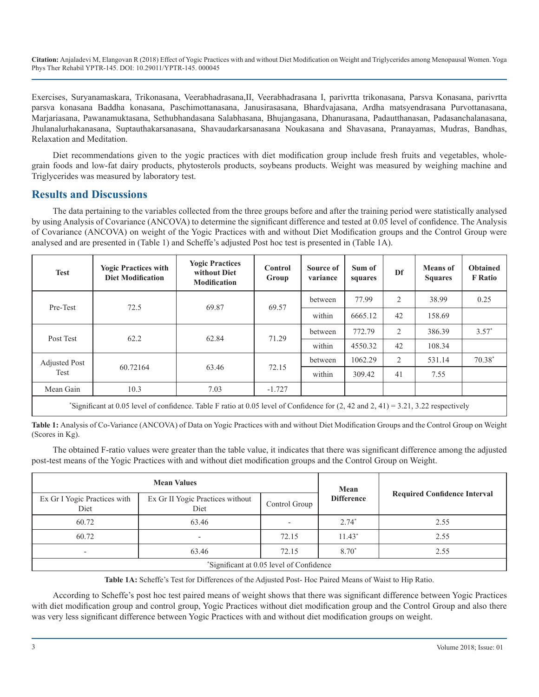Exercises, Suryanamaskara, Trikonasana, Veerabhadrasana,II, Veerabhadrasana I, parivrtta trikonasana, Parsva Konasana, parivrtta parsva konasana Baddha konasana, Paschimottanasana, Janusirasasana, Bhardvajasana, Ardha matsyendrasana Purvottanasana, Marjariasana, Pawanamuktasana, Sethubhandasana Salabhasana, Bhujangasana, Dhanurasana, Padautthanasan, Padasanchalanasana, Jhulanalurhakanasana, Suptauthakarsanasana, Shavaudarkarsanasana Noukasana and Shavasana, Pranayamas, Mudras, Bandhas, Relaxation and Meditation.

Diet recommendations given to the yogic practices with diet modification group include fresh fruits and vegetables, [whole](https://www.nia.nih.gov/health/publication/whats-your-plate/grains)[grain foods](https://www.nia.nih.gov/health/publication/whats-your-plate/grains) and low-fat dairy products, phytosterols products, soybeans products. Weight was measured by weighing machine and Triglycerides was measured by laboratory test.

#### **Results and Discussions**

The data pertaining to the variables collected from the three groups before and after the training period were statistically analysed by using Analysis of Covariance (ANCOVA) to determine the significant difference and tested at 0.05 level of confidence. The Analysis of Covariance (ANCOVA) on weight of the Yogic Practices with and without Diet Modification groups and the Control Group were analysed and are presented in (Table 1) and Scheffe's adjusted Post hoc test is presented in (Table 1A).

| <b>Test</b>                                                                                                                                  | <b>Yogic Practices with</b><br><b>Diet Modification</b> | <b>Yogic Practices</b><br>without Diet<br><b>Modification</b> | <b>Control</b><br>Group | Source of<br>variance | Sum of<br>squares | Df | <b>Means</b> of<br><b>Squares</b> | <b>Obtained</b><br><b>F</b> Ratio |
|----------------------------------------------------------------------------------------------------------------------------------------------|---------------------------------------------------------|---------------------------------------------------------------|-------------------------|-----------------------|-------------------|----|-----------------------------------|-----------------------------------|
| Pre-Test                                                                                                                                     | 72.5                                                    | 69.87                                                         | 69.57                   | between               | 77.99             | 2  | 38.99                             | 0.25                              |
|                                                                                                                                              |                                                         |                                                               |                         | within                | 6665.12           | 42 | 158.69                            |                                   |
| Post Test                                                                                                                                    | 62.2                                                    | 62.84                                                         | 71.29                   | between               | 772.79            | 2  | 386.39                            | $3.57*$                           |
|                                                                                                                                              |                                                         |                                                               |                         | within                | 4550.32           | 42 | 108.34                            |                                   |
| <b>Adjusted Post</b><br>Test                                                                                                                 | 60.72164                                                | 63.46                                                         | 72.15                   | between               | 1062.29           | 2  | 531.14                            | $70.38*$                          |
|                                                                                                                                              |                                                         |                                                               |                         | within                | 309.42            | 41 | 7.55                              |                                   |
| Mean Gain                                                                                                                                    | 10.3                                                    | 7.03                                                          | $-1.727$                |                       |                   |    |                                   |                                   |
| $^*$ Classificant at 0.05 land after and donor. Takiha Eurice at 0.05 land af Candidanas from (2.10 and 3.01.2.41) = 2.21.2.2.2.2.2.2.2.2.1. |                                                         |                                                               |                         |                       |                   |    |                                   |                                   |

\* Significant at 0.05 level of confidence. Table F ratio at 0.05 level of Confidence for (2, 42 and 2, 41) = 3.21, 3.22 respectively

**Table 1:** Analysis of Co-Variance (ANCOVA) of Data on Yogic Practices with and without Diet Modification Groups and the Control Group on Weight (Scores in Kg).

The obtained F-ratio values were greater than the table value, it indicates that there was significant difference among the adjusted post-test means of the Yogic Practices with and without diet modification groups and the Control Group on Weight.

|                                          | <b>Mean Values</b>                       | Mean          |                   |                                     |  |  |  |
|------------------------------------------|------------------------------------------|---------------|-------------------|-------------------------------------|--|--|--|
| Ex Gr I Yogic Practices with<br>Diet     | Ex Gr II Yogic Practices without<br>Diet | Control Group | <b>Difference</b> | <b>Required Confidence Interval</b> |  |  |  |
| 60.72                                    | 63.46                                    |               | $2.74*$           | 2.55                                |  |  |  |
| 60.72                                    | $\overline{\phantom{0}}$                 | 72.15         | $11.43*$          | 2.55                                |  |  |  |
| $\overline{\phantom{a}}$                 | 63.46                                    | 72.15         | 8.70*             | 2.55                                |  |  |  |
| *Significant at 0.05 level of Confidence |                                          |               |                   |                                     |  |  |  |

**Table 1A:** Scheffe's Test for Differences of the Adjusted Post- Hoc Paired Means of Waist to Hip Ratio.

According to Scheffe's post hoc test paired means of weight shows that there was significant difference between Yogic Practices with diet modification group and control group, Yogic Practices without diet modification group and the Control Group and also there was very less significant difference between Yogic Practices with and without diet modification groups on weight.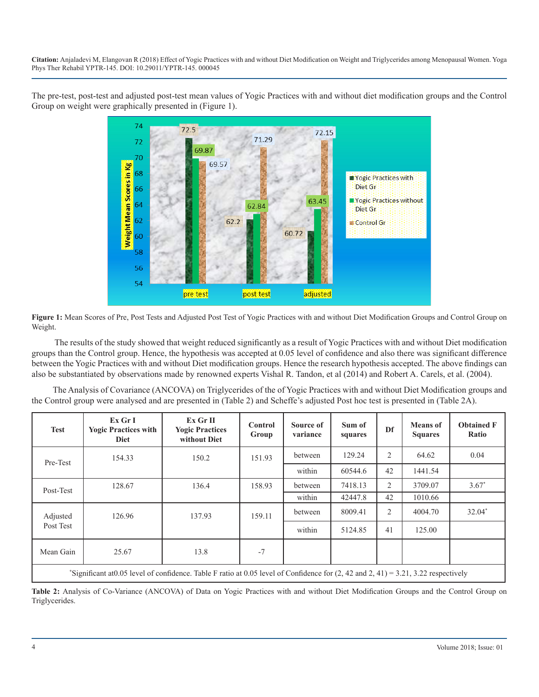The pre-test, post-test and adjusted post-test mean values of Yogic Practices with and without diet modification groups and the Control Group on weight were graphically presented in (Figure 1).



**Figure 1:** Mean Scores of Pre, Post Tests and Adjusted Post Test of Yogic Practices with and without Diet Modification Groups and Control Group on Weight.

 The results of the study showed that weight reduced significantly as a result of Yogic Practices with and without Diet modification groups than the Control group. Hence, the hypothesis was accepted at 0.05 level of confidence and also there was significant difference between the Yogic Practices with and without Diet modification groups. Hence the research hypothesis accepted. The above findings can also be substantiated by observations made by renowned experts Vishal R. Tandon, et al (2014) and Robert A. Carels, et al. (2004).

The Analysis of Covariance (ANCOVA) on Triglycerides of the of Yogic Practices with and without Diet Modification groups and the Control group were analysed and are presented in (Table 2) and Scheffe's adjusted Post hoc test is presented in (Table 2A).

| <b>Test</b>                                                                                                                                    | Ex Gr I<br><b>Yogic Practices with</b><br><b>Diet</b> | Ex Gr II<br><b>Yogic Practices</b><br>without Diet | <b>Control</b><br>Group | Source of<br>variance | Sum of<br>squares | Df             | <b>Means</b> of<br><b>Squares</b> | <b>Obtained F</b><br>Ratio |
|------------------------------------------------------------------------------------------------------------------------------------------------|-------------------------------------------------------|----------------------------------------------------|-------------------------|-----------------------|-------------------|----------------|-----------------------------------|----------------------------|
| Pre-Test                                                                                                                                       | 154.33                                                | 150.2                                              | 151.93                  | between               | 129.24            | $\overline{2}$ | 64.62                             | 0.04                       |
|                                                                                                                                                |                                                       |                                                    |                         | within                | 60544.6           | 42             | 1441.54                           |                            |
| Post-Test                                                                                                                                      | 128.67                                                | 136.4                                              | 158.93                  | between               | 7418.13           | $\overline{2}$ | 3709.07                           | $3.67*$                    |
|                                                                                                                                                |                                                       |                                                    |                         | within                | 42447.8           | 42             | 1010.66                           |                            |
| Adjusted<br>Post Test                                                                                                                          | 126.96                                                | 137.93                                             | 159.11                  | between               | 8009.41           | $\overline{2}$ | 4004.70                           | 32.04*                     |
|                                                                                                                                                |                                                       |                                                    |                         | within                | 5124.85           | 41             | 125.00                            |                            |
| Mean Gain                                                                                                                                      | 25.67                                                 | 13.8                                               | $-7$                    |                       |                   |                |                                   |                            |
| Significant at 0.05 level of confidence. Table F ratio at 0.05 level of Confidence for $(2, 42 \text{ and } 2, 41) = 3.21$ , 3.22 respectively |                                                       |                                                    |                         |                       |                   |                |                                   |                            |

**Table 2:** Analysis of Co-Variance (ANCOVA) of Data on Yogic Practices with and without Diet Modification Groups and the Control Group on Triglycerides.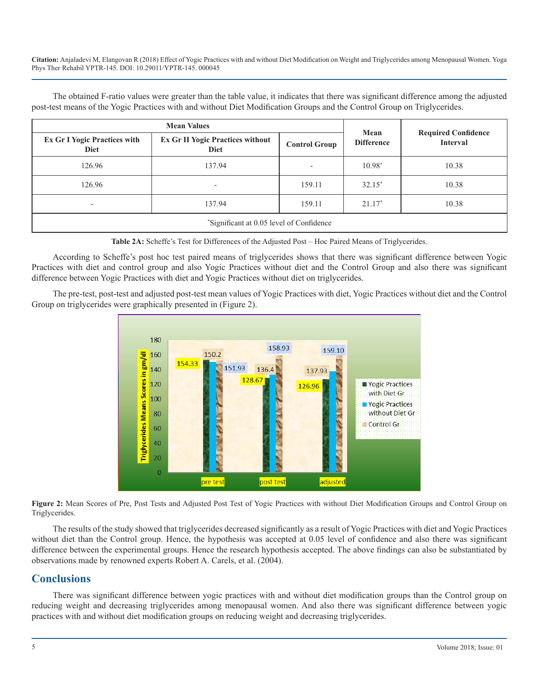The obtained F-ratio values were greater than the table value, it indicates that there was significant difference among the adjusted post-test means of the Yogic Practices with and without Diet Modification Groups and the Control Group on Triglycerides.

|                                                    | Mean                                                   |                      |                   |                                               |  |  |
|----------------------------------------------------|--------------------------------------------------------|----------------------|-------------------|-----------------------------------------------|--|--|
| <b>Ex Gr I Yogic Practices with</b><br><b>Diet</b> | <b>Ex Gr II Yogic Practices without</b><br><b>Diet</b> | <b>Control Group</b> | <b>Difference</b> | <b>Required Confidence</b><br><b>Interval</b> |  |  |
| 126.96                                             | 137.94                                                 |                      | $10.98*$          | 10.38                                         |  |  |
| 126.96                                             | $\overline{\phantom{0}}$                               | 159.11               | $32.15*$          | 10.38                                         |  |  |
| $\overline{\phantom{a}}$                           | 137.94                                                 | 159.11               | $21.17*$          | 10.38                                         |  |  |
| *Significant at 0.05 level of Confidence           |                                                        |                      |                   |                                               |  |  |

**Table 2A:** Scheffe's Test for Differences of the Adjusted Post – Hoc Paired Means of Triglycerides.

According to Scheffe's post hoc test paired means of triglycerides shows that there was significant difference between Yogic Practices with diet and control group and also Yogic Practices without diet and the Control Group and also there was significant difference between Yogic Practices with diet and Yogic Practices without diet on triglycerides.

The pre-test, post-test and adjusted post-test mean values of Yogic Practices with diet, Yogic Practices without diet and the Control Group on triglycerides were graphically presented in (Figure 2).



**Figure 2:** Mean Scores of Pre, Post Tests and Adjusted Post Test of Yogic Practices with without Diet Modification Groups and Control Group on Triglycerides.

The results of the study showed that triglycerides decreased significantly as a result of Yogic Practices with diet and Yogic Practices without diet than the Control group. Hence, the hypothesis was accepted at 0.05 level of confidence and also there was significant difference between the experimental groups. Hence the research hypothesis accepted. The above findings can also be substantiated by observations made by renowned experts Robert A. Carels, et al. (2004).

#### **Conclusions**

There was significant difference between yogic practices with and without diet modification groups than the Control group on reducing weight and decreasing triglycerides among menopausal women. And also there was significant difference between yogic practices with and without diet modification groups on reducing weight and decreasing triglycerides.